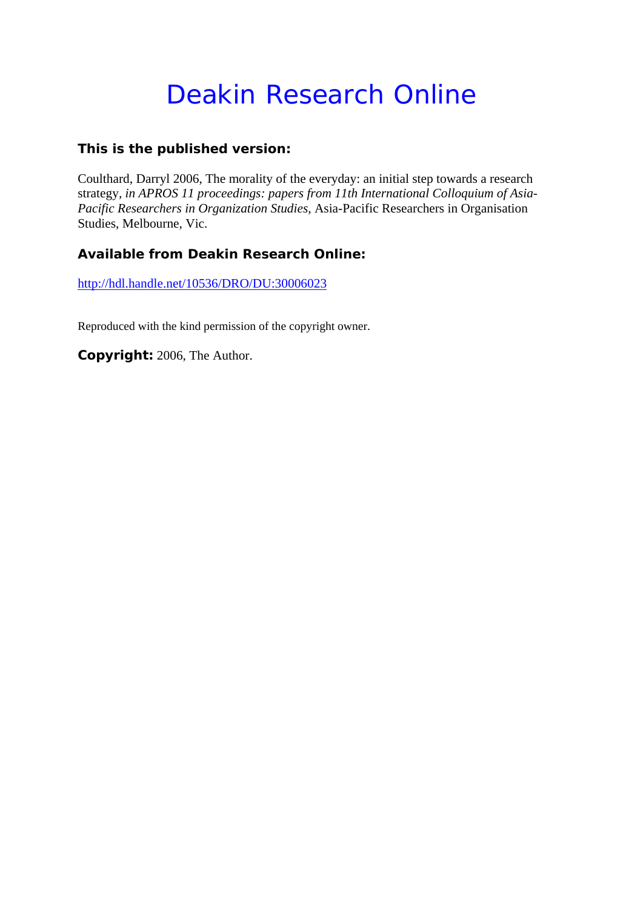# Deakin Research Online

# **This is the published version:**

Coulthard, Darryl 2006, The morality of the everyday: an initial step towards a research strategy*, in APROS 11 proceedings: papers from 11th International Colloquium of Asia-Pacific Researchers in Organization Studies*, Asia-Pacific Researchers in Organisation Studies, Melbourne, Vic.

# **Available from Deakin Research Online:**

http://hdl.handle.net/10536/DRO/DU:30006023

Reproduced with the kind permission of the copyright owner.

**Copyright:** 2006, The Author.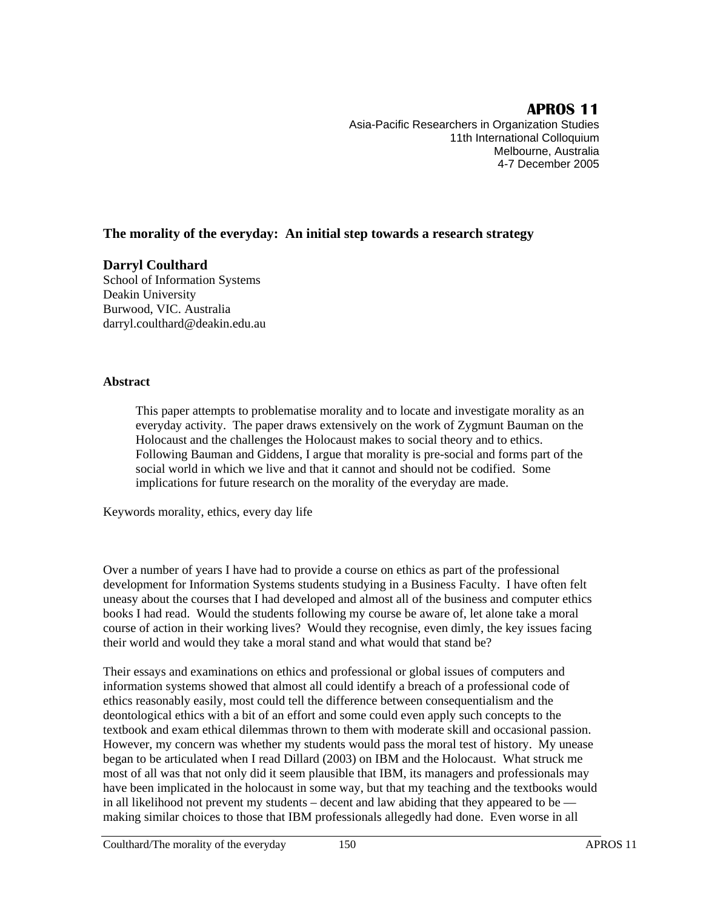# **APROS 11**

Asia-Pacific Researchers in Organization Studies 11th International Colloquium Melbourne, Australia 4-7 December 2005

## **The morality of the everyday: An initial step towards a research strategy**

#### **Darryl Coulthard**

School of Information Systems Deakin University Burwood, VIC. Australia darryl.coulthard@deakin.edu.au

#### **Abstract**

This paper attempts to problematise morality and to locate and investigate morality as an everyday activity. The paper draws extensively on the work of Zygmunt Bauman on the Holocaust and the challenges the Holocaust makes to social theory and to ethics. Following Bauman and Giddens, I argue that morality is pre-social and forms part of the social world in which we live and that it cannot and should not be codified. Some implications for future research on the morality of the everyday are made.

Keywords morality, ethics, every day life

Over a number of years I have had to provide a course on ethics as part of the professional development for Information Systems students studying in a Business Faculty. I have often felt uneasy about the courses that I had developed and almost all of the business and computer ethics books I had read. Would the students following my course be aware of, let alone take a moral course of action in their working lives? Would they recognise, even dimly, the key issues facing their world and would they take a moral stand and what would that stand be?

Their essays and examinations on ethics and professional or global issues of computers and information systems showed that almost all could identify a breach of a professional code of ethics reasonably easily, most could tell the difference between consequentialism and the deontological ethics with a bit of an effort and some could even apply such concepts to the textbook and exam ethical dilemmas thrown to them with moderate skill and occasional passion. However, my concern was whether my students would pass the moral test of history. My unease began to be articulated when I read Dillard (2003) on IBM and the Holocaust. What struck me most of all was that not only did it seem plausible that IBM, its managers and professionals may have been implicated in the holocaust in some way, but that my teaching and the textbooks would in all likelihood not prevent my students – decent and law abiding that they appeared to be making similar choices to those that IBM professionals allegedly had done. Even worse in all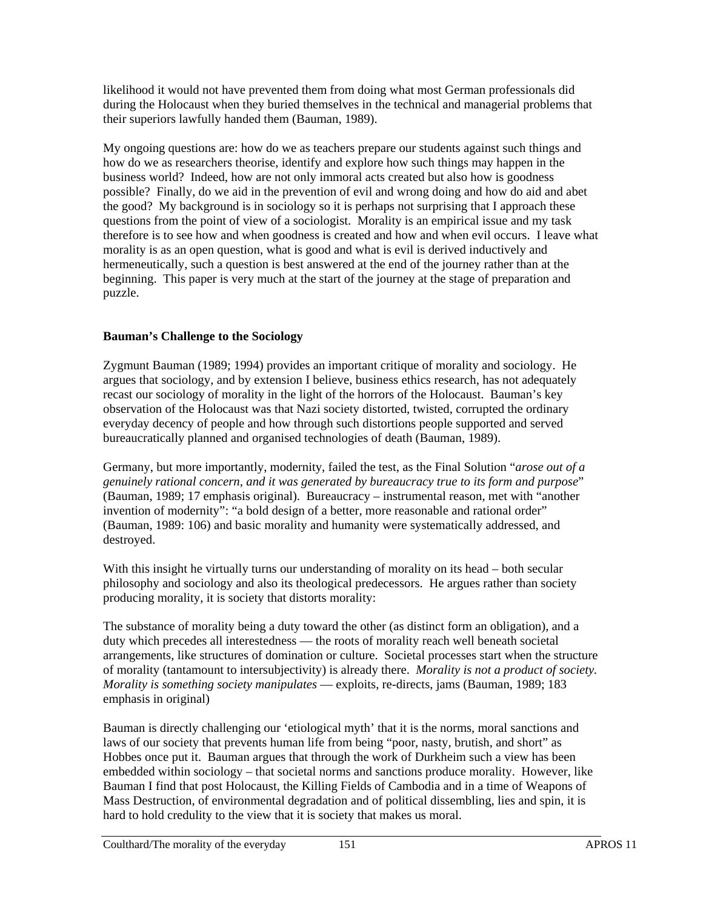likelihood it would not have prevented them from doing what most German professionals did during the Holocaust when they buried themselves in the technical and managerial problems that their superiors lawfully handed them (Bauman, 1989).

My ongoing questions are: how do we as teachers prepare our students against such things and how do we as researchers theorise, identify and explore how such things may happen in the business world? Indeed, how are not only immoral acts created but also how is goodness possible? Finally, do we aid in the prevention of evil and wrong doing and how do aid and abet the good? My background is in sociology so it is perhaps not surprising that I approach these questions from the point of view of a sociologist. Morality is an empirical issue and my task therefore is to see how and when goodness is created and how and when evil occurs. I leave what morality is as an open question, what is good and what is evil is derived inductively and hermeneutically, such a question is best answered at the end of the journey rather than at the beginning. This paper is very much at the start of the journey at the stage of preparation and puzzle.

### **Bauman's Challenge to the Sociology**

Zygmunt Bauman (1989; 1994) provides an important critique of morality and sociology. He argues that sociology, and by extension I believe, business ethics research, has not adequately recast our sociology of morality in the light of the horrors of the Holocaust. Bauman's key observation of the Holocaust was that Nazi society distorted, twisted, corrupted the ordinary everyday decency of people and how through such distortions people supported and served bureaucratically planned and organised technologies of death (Bauman, 1989).

Germany, but more importantly, modernity, failed the test, as the Final Solution "*arose out of a genuinely rational concern, and it was generated by bureaucracy true to its form and purpose*" (Bauman, 1989; 17 emphasis original). Bureaucracy – instrumental reason, met with "another invention of modernity": "a bold design of a better, more reasonable and rational order" (Bauman, 1989: 106) and basic morality and humanity were systematically addressed, and destroyed.

With this insight he virtually turns our understanding of morality on its head – both secular philosophy and sociology and also its theological predecessors. He argues rather than society producing morality, it is society that distorts morality:

The substance of morality being a duty toward the other (as distinct form an obligation), and a duty which precedes all interestedness — the roots of morality reach well beneath societal arrangements, like structures of domination or culture. Societal processes start when the structure of morality (tantamount to intersubjectivity) is already there. *Morality is not a product of society. Morality is something society manipulates* — exploits, re-directs, jams (Bauman, 1989; 183 emphasis in original)

Bauman is directly challenging our 'etiological myth' that it is the norms, moral sanctions and laws of our society that prevents human life from being "poor, nasty, brutish, and short" as Hobbes once put it. Bauman argues that through the work of Durkheim such a view has been embedded within sociology – that societal norms and sanctions produce morality. However, like Bauman I find that post Holocaust, the Killing Fields of Cambodia and in a time of Weapons of Mass Destruction, of environmental degradation and of political dissembling, lies and spin, it is hard to hold credulity to the view that it is society that makes us moral.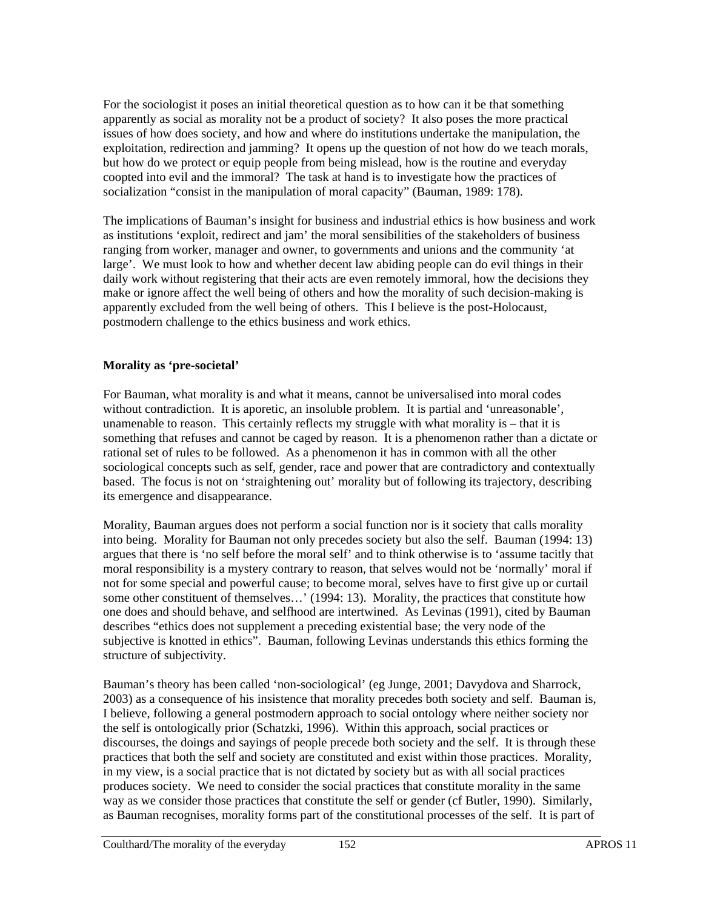For the sociologist it poses an initial theoretical question as to how can it be that something apparently as social as morality not be a product of society? It also poses the more practical issues of how does society, and how and where do institutions undertake the manipulation, the exploitation, redirection and jamming? It opens up the question of not how do we teach morals, but how do we protect or equip people from being mislead, how is the routine and everyday coopted into evil and the immoral? The task at hand is to investigate how the practices of socialization "consist in the manipulation of moral capacity" (Bauman, 1989: 178).

The implications of Bauman's insight for business and industrial ethics is how business and work as institutions 'exploit, redirect and jam' the moral sensibilities of the stakeholders of business ranging from worker, manager and owner, to governments and unions and the community 'at large'. We must look to how and whether decent law abiding people can do evil things in their daily work without registering that their acts are even remotely immoral, how the decisions they make or ignore affect the well being of others and how the morality of such decision-making is apparently excluded from the well being of others. This I believe is the post-Holocaust, postmodern challenge to the ethics business and work ethics.

### **Morality as 'pre-societal'**

For Bauman, what morality is and what it means, cannot be universalised into moral codes without contradiction. It is aporetic, an insoluble problem. It is partial and 'unreasonable', unamenable to reason. This certainly reflects my struggle with what morality is – that it is something that refuses and cannot be caged by reason. It is a phenomenon rather than a dictate or rational set of rules to be followed. As a phenomenon it has in common with all the other sociological concepts such as self, gender, race and power that are contradictory and contextually based. The focus is not on 'straightening out' morality but of following its trajectory, describing its emergence and disappearance.

Morality, Bauman argues does not perform a social function nor is it society that calls morality into being. Morality for Bauman not only precedes society but also the self. Bauman (1994: 13) argues that there is 'no self before the moral self' and to think otherwise is to 'assume tacitly that moral responsibility is a mystery contrary to reason, that selves would not be 'normally' moral if not for some special and powerful cause; to become moral, selves have to first give up or curtail some other constituent of themselves…' (1994: 13). Morality, the practices that constitute how one does and should behave, and selfhood are intertwined. As Levinas (1991), cited by Bauman describes "ethics does not supplement a preceding existential base; the very node of the subjective is knotted in ethics". Bauman, following Levinas understands this ethics forming the structure of subjectivity.

Bauman's theory has been called 'non-sociological' (eg Junge, 2001; Davydova and Sharrock, 2003) as a consequence of his insistence that morality precedes both society and self. Bauman is, I believe, following a general postmodern approach to social ontology where neither society nor the self is ontologically prior (Schatzki, 1996). Within this approach, social practices or discourses, the doings and sayings of people precede both society and the self. It is through these practices that both the self and society are constituted and exist within those practices. Morality, in my view, is a social practice that is not dictated by society but as with all social practices produces society. We need to consider the social practices that constitute morality in the same way as we consider those practices that constitute the self or gender (cf Butler, 1990). Similarly, as Bauman recognises, morality forms part of the constitutional processes of the self. It is part of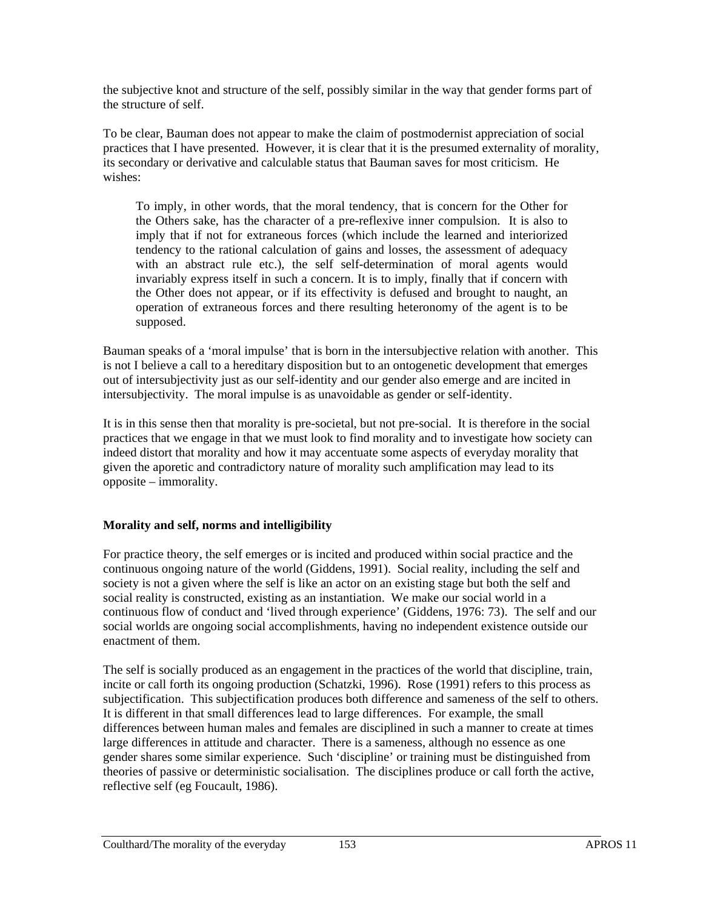the subjective knot and structure of the self, possibly similar in the way that gender forms part of the structure of self.

To be clear, Bauman does not appear to make the claim of postmodernist appreciation of social practices that I have presented. However, it is clear that it is the presumed externality of morality, its secondary or derivative and calculable status that Bauman saves for most criticism. He wishes:

To imply, in other words, that the moral tendency, that is concern for the Other for the Others sake, has the character of a pre-reflexive inner compulsion. It is also to imply that if not for extraneous forces (which include the learned and interiorized tendency to the rational calculation of gains and losses, the assessment of adequacy with an abstract rule etc.), the self self-determination of moral agents would invariably express itself in such a concern. It is to imply, finally that if concern with the Other does not appear, or if its effectivity is defused and brought to naught, an operation of extraneous forces and there resulting heteronomy of the agent is to be supposed.

Bauman speaks of a 'moral impulse' that is born in the intersubjective relation with another. This is not I believe a call to a hereditary disposition but to an ontogenetic development that emerges out of intersubjectivity just as our self-identity and our gender also emerge and are incited in intersubjectivity. The moral impulse is as unavoidable as gender or self-identity.

It is in this sense then that morality is pre-societal, but not pre-social. It is therefore in the social practices that we engage in that we must look to find morality and to investigate how society can indeed distort that morality and how it may accentuate some aspects of everyday morality that given the aporetic and contradictory nature of morality such amplification may lead to its opposite – immorality.

## **Morality and self, norms and intelligibility**

For practice theory, the self emerges or is incited and produced within social practice and the continuous ongoing nature of the world (Giddens, 1991). Social reality, including the self and society is not a given where the self is like an actor on an existing stage but both the self and social reality is constructed, existing as an instantiation. We make our social world in a continuous flow of conduct and 'lived through experience' (Giddens, 1976: 73). The self and our social worlds are ongoing social accomplishments, having no independent existence outside our enactment of them.

The self is socially produced as an engagement in the practices of the world that discipline, train, incite or call forth its ongoing production (Schatzki, 1996). Rose (1991) refers to this process as subjectification. This subjectification produces both difference and sameness of the self to others. It is different in that small differences lead to large differences. For example, the small differences between human males and females are disciplined in such a manner to create at times large differences in attitude and character. There is a sameness, although no essence as one gender shares some similar experience. Such 'discipline' or training must be distinguished from theories of passive or deterministic socialisation. The disciplines produce or call forth the active, reflective self (eg Foucault, 1986).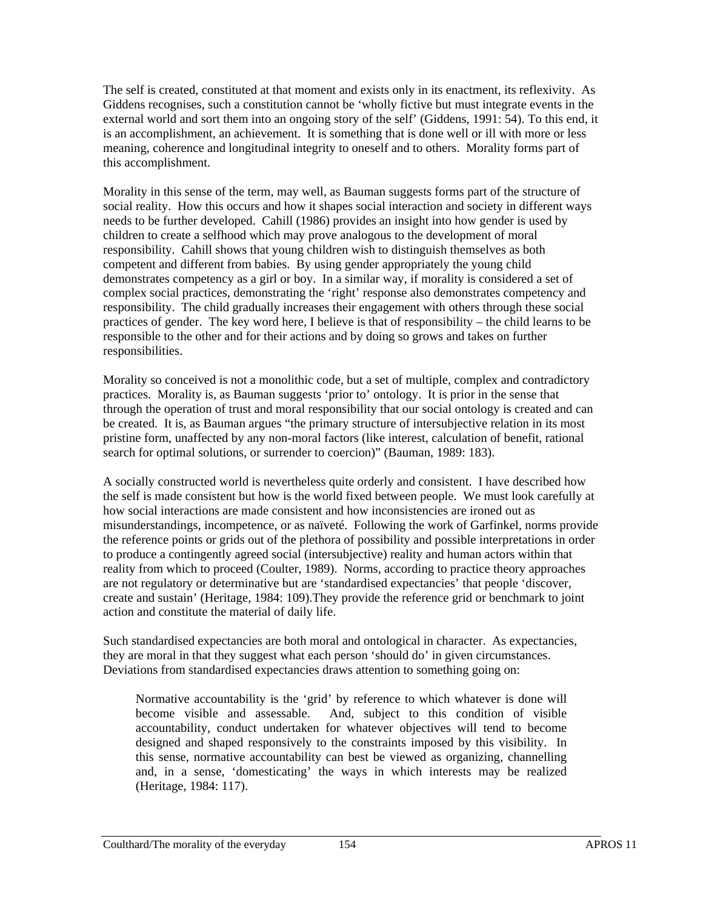The self is created, constituted at that moment and exists only in its enactment, its reflexivity. As Giddens recognises, such a constitution cannot be 'wholly fictive but must integrate events in the external world and sort them into an ongoing story of the self' (Giddens, 1991: 54). To this end, it is an accomplishment, an achievement. It is something that is done well or ill with more or less meaning, coherence and longitudinal integrity to oneself and to others. Morality forms part of this accomplishment.

Morality in this sense of the term, may well, as Bauman suggests forms part of the structure of social reality. How this occurs and how it shapes social interaction and society in different ways needs to be further developed. Cahill (1986) provides an insight into how gender is used by children to create a selfhood which may prove analogous to the development of moral responsibility. Cahill shows that young children wish to distinguish themselves as both competent and different from babies. By using gender appropriately the young child demonstrates competency as a girl or boy. In a similar way, if morality is considered a set of complex social practices, demonstrating the 'right' response also demonstrates competency and responsibility. The child gradually increases their engagement with others through these social practices of gender. The key word here, I believe is that of responsibility – the child learns to be responsible to the other and for their actions and by doing so grows and takes on further responsibilities.

Morality so conceived is not a monolithic code, but a set of multiple, complex and contradictory practices. Morality is, as Bauman suggests 'prior to' ontology. It is prior in the sense that through the operation of trust and moral responsibility that our social ontology is created and can be created. It is, as Bauman argues "the primary structure of intersubjective relation in its most pristine form, unaffected by any non-moral factors (like interest, calculation of benefit, rational search for optimal solutions, or surrender to coercion)" (Bauman, 1989: 183).

A socially constructed world is nevertheless quite orderly and consistent. I have described how the self is made consistent but how is the world fixed between people. We must look carefully at how social interactions are made consistent and how inconsistencies are ironed out as misunderstandings, incompetence, or as naïveté. Following the work of Garfinkel, norms provide the reference points or grids out of the plethora of possibility and possible interpretations in order to produce a contingently agreed social (intersubjective) reality and human actors within that reality from which to proceed (Coulter, 1989). Norms, according to practice theory approaches are not regulatory or determinative but are 'standardised expectancies' that people 'discover, create and sustain' (Heritage, 1984: 109).They provide the reference grid or benchmark to joint action and constitute the material of daily life.

Such standardised expectancies are both moral and ontological in character. As expectancies, they are moral in that they suggest what each person 'should do' in given circumstances. Deviations from standardised expectancies draws attention to something going on:

Normative accountability is the 'grid' by reference to which whatever is done will become visible and assessable. And, subject to this condition of visible accountability, conduct undertaken for whatever objectives will tend to become designed and shaped responsively to the constraints imposed by this visibility. In this sense, normative accountability can best be viewed as organizing, channelling and, in a sense, 'domesticating' the ways in which interests may be realized (Heritage, 1984: 117).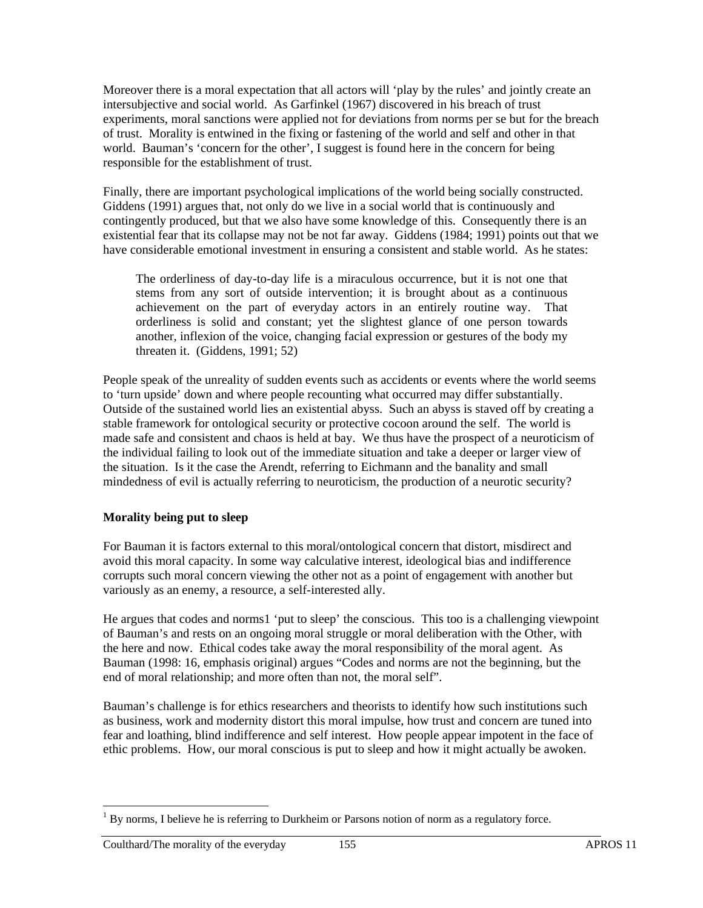Moreover there is a moral expectation that all actors will 'play by the rules' and jointly create an intersubjective and social world. As Garfinkel (1967) discovered in his breach of trust experiments, moral sanctions were applied not for deviations from norms per se but for the breach of trust. Morality is entwined in the fixing or fastening of the world and self and other in that world. Bauman's 'concern for the other', I suggest is found here in the concern for being responsible for the establishment of trust.

Finally, there are important psychological implications of the world being socially constructed. Giddens (1991) argues that, not only do we live in a social world that is continuously and contingently produced, but that we also have some knowledge of this. Consequently there is an existential fear that its collapse may not be not far away. Giddens (1984; 1991) points out that we have considerable emotional investment in ensuring a consistent and stable world. As he states:

The orderliness of day-to-day life is a miraculous occurrence, but it is not one that stems from any sort of outside intervention; it is brought about as a continuous achievement on the part of everyday actors in an entirely routine way. That orderliness is solid and constant; yet the slightest glance of one person towards another, inflexion of the voice, changing facial expression or gestures of the body my threaten it. (Giddens, 1991; 52)

People speak of the unreality of sudden events such as accidents or events where the world seems to 'turn upside' down and where people recounting what occurred may differ substantially. Outside of the sustained world lies an existential abyss. Such an abyss is staved off by creating a stable framework for ontological security or protective cocoon around the self. The world is made safe and consistent and chaos is held at bay. We thus have the prospect of a neuroticism of the individual failing to look out of the immediate situation and take a deeper or larger view of the situation. Is it the case the Arendt, referring to Eichmann and the banality and small mindedness of evil is actually referring to neuroticism, the production of a neurotic security?

## **Morality being put to sleep**

For Bauman it is factors external to this moral/ontological concern that distort, misdirect and avoid this moral capacity. In some way calculative interest, ideological bias and indifference corrupts such moral concern viewing the other not as a point of engagement with another but variously as an enemy, a resource, a self-interested ally.

He argues that codes and norms1 'put to sleep' the conscious. This too is a challenging viewpoint of Bauman's and rests on an ongoing moral struggle or moral deliberation with the Other, with the here and now. Ethical codes take away the moral responsibility of the moral agent. As Bauman (1998: 16, emphasis original) argues "Codes and norms are not the beginning, but the end of moral relationship; and more often than not, the moral self".

Bauman's challenge is for ethics researchers and theorists to identify how such institutions such as business, work and modernity distort this moral impulse, how trust and concern are tuned into fear and loathing, blind indifference and self interest. How people appear impotent in the face of ethic problems. How, our moral conscious is put to sleep and how it might actually be awoken.

 $\overline{a}$ 

<sup>1</sup> By norms, I believe he is referring to Durkheim or Parsons notion of norm as a regulatory force.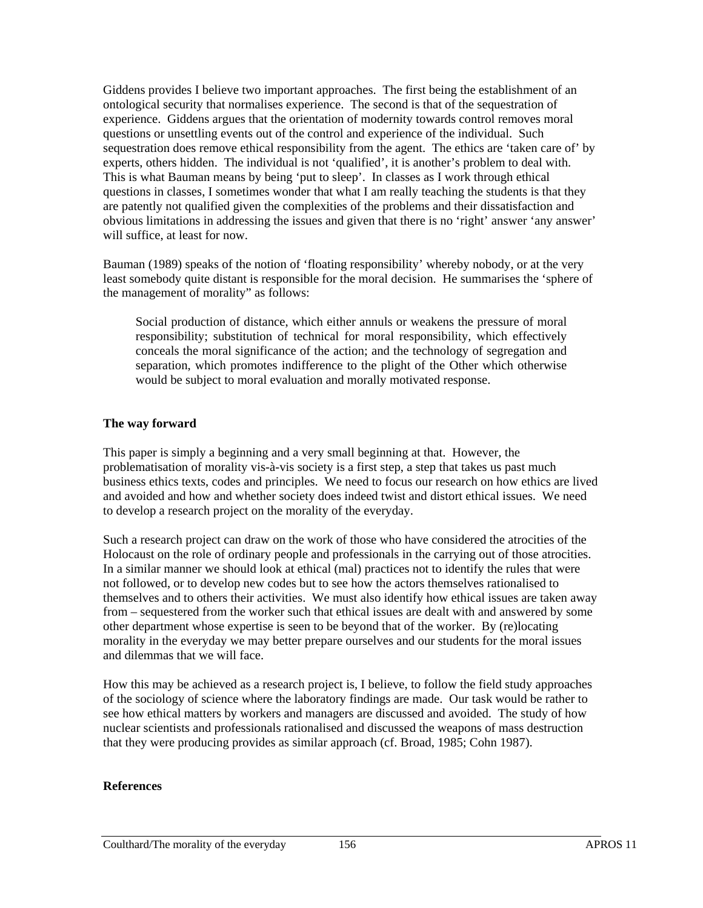Giddens provides I believe two important approaches. The first being the establishment of an ontological security that normalises experience. The second is that of the sequestration of experience. Giddens argues that the orientation of modernity towards control removes moral questions or unsettling events out of the control and experience of the individual. Such sequestration does remove ethical responsibility from the agent. The ethics are 'taken care of' by experts, others hidden. The individual is not 'qualified', it is another's problem to deal with. This is what Bauman means by being 'put to sleep'. In classes as I work through ethical questions in classes, I sometimes wonder that what I am really teaching the students is that they are patently not qualified given the complexities of the problems and their dissatisfaction and obvious limitations in addressing the issues and given that there is no 'right' answer 'any answer' will suffice, at least for now.

Bauman (1989) speaks of the notion of 'floating responsibility' whereby nobody, or at the very least somebody quite distant is responsible for the moral decision. He summarises the 'sphere of the management of morality" as follows:

Social production of distance, which either annuls or weakens the pressure of moral responsibility; substitution of technical for moral responsibility, which effectively conceals the moral significance of the action; and the technology of segregation and separation, which promotes indifference to the plight of the Other which otherwise would be subject to moral evaluation and morally motivated response.

#### **The way forward**

This paper is simply a beginning and a very small beginning at that. However, the problematisation of morality vis-à-vis society is a first step, a step that takes us past much business ethics texts, codes and principles. We need to focus our research on how ethics are lived and avoided and how and whether society does indeed twist and distort ethical issues. We need to develop a research project on the morality of the everyday.

Such a research project can draw on the work of those who have considered the atrocities of the Holocaust on the role of ordinary people and professionals in the carrying out of those atrocities. In a similar manner we should look at ethical (mal) practices not to identify the rules that were not followed, or to develop new codes but to see how the actors themselves rationalised to themselves and to others their activities. We must also identify how ethical issues are taken away from – sequestered from the worker such that ethical issues are dealt with and answered by some other department whose expertise is seen to be beyond that of the worker. By (re)locating morality in the everyday we may better prepare ourselves and our students for the moral issues and dilemmas that we will face.

How this may be achieved as a research project is, I believe, to follow the field study approaches of the sociology of science where the laboratory findings are made. Our task would be rather to see how ethical matters by workers and managers are discussed and avoided. The study of how nuclear scientists and professionals rationalised and discussed the weapons of mass destruction that they were producing provides as similar approach (cf. Broad, 1985; Cohn 1987).

#### **References**